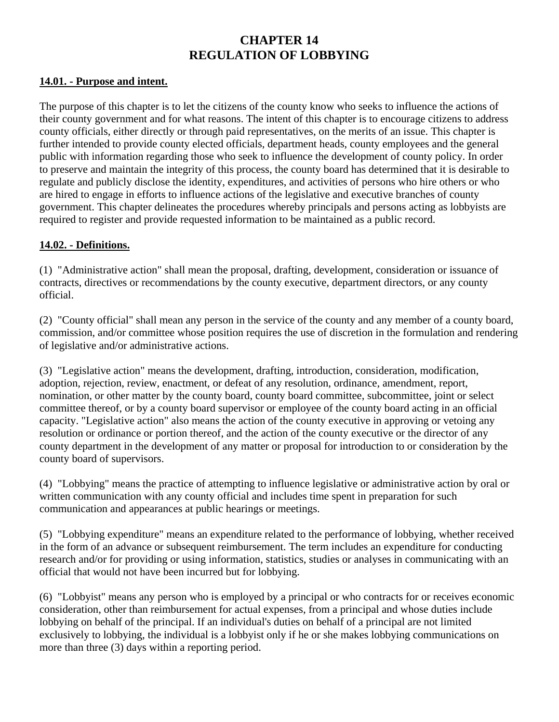# **CHAPTER 14 REGULATION OF LOBBYING**

#### **14.01. - Purpose and intent.**

The purpose of this chapter is to let the citizens of the county know who seeks to influence the actions of their county government and for what reasons. The intent of this chapter is to encourage citizens to address county officials, either directly or through paid representatives, on the merits of an issue. This chapter is further intended to provide county elected officials, department heads, county employees and the general public with information regarding those who seek to influence the development of county policy. In order to preserve and maintain the integrity of this process, the county board has determined that it is desirable to regulate and publicly disclose the identity, expenditures, and activities of persons who hire others or who are hired to engage in efforts to influence actions of the legislative and executive branches of county government. This chapter delineates the procedures whereby principals and persons acting as lobbyists are required to register and provide requested information to be maintained as a public record.

#### **14.02. - Definitions.**

(1) "Administrative action" shall mean the proposal, drafting, development, consideration or issuance of contracts, directives or recommendations by the county executive, department directors, or any county official.

(2) "County official" shall mean any person in the service of the county and any member of a county board, commission, and/or committee whose position requires the use of discretion in the formulation and rendering of legislative and/or administrative actions.

(3) "Legislative action" means the development, drafting, introduction, consideration, modification, adoption, rejection, review, enactment, or defeat of any resolution, ordinance, amendment, report, nomination, or other matter by the county board, county board committee, subcommittee, joint or select committee thereof, or by a county board supervisor or employee of the county board acting in an official capacity. "Legislative action" also means the action of the county executive in approving or vetoing any resolution or ordinance or portion thereof, and the action of the county executive or the director of any county department in the development of any matter or proposal for introduction to or consideration by the county board of supervisors.

(4) "Lobbying" means the practice of attempting to influence legislative or administrative action by oral or written communication with any county official and includes time spent in preparation for such communication and appearances at public hearings or meetings.

(5) "Lobbying expenditure" means an expenditure related to the performance of lobbying, whether received in the form of an advance or subsequent reimbursement. The term includes an expenditure for conducting research and/or for providing or using information, statistics, studies or analyses in communicating with an official that would not have been incurred but for lobbying.

(6) "Lobbyist" means any person who is employed by a principal or who contracts for or receives economic consideration, other than reimbursement for actual expenses, from a principal and whose duties include lobbying on behalf of the principal. If an individual's duties on behalf of a principal are not limited exclusively to lobbying, the individual is a lobbyist only if he or she makes lobbying communications on more than three (3) days within a reporting period.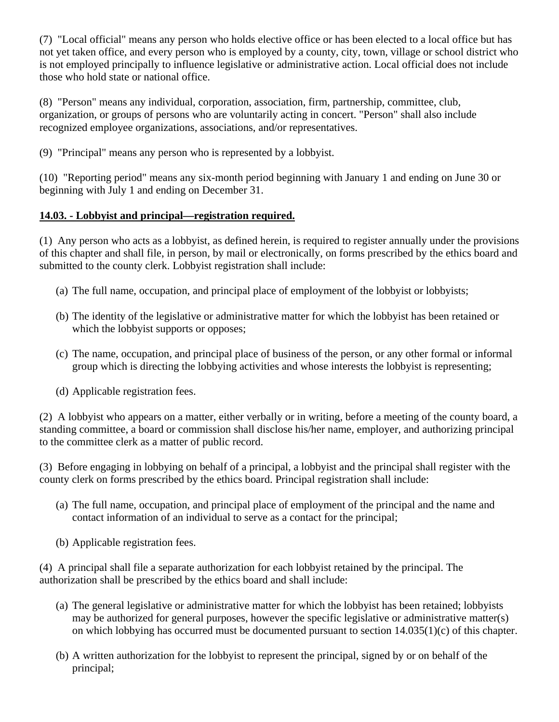(7) "Local official" means any person who holds elective office or has been elected to a local office but has not yet taken office, and every person who is employed by a county, city, town, village or school district who is not employed principally to influence legislative or administrative action. Local official does not include those who hold state or national office.

(8) "Person" means any individual, corporation, association, firm, partnership, committee, club, organization, or groups of persons who are voluntarily acting in concert. "Person" shall also include recognized employee organizations, associations, and/or representatives.

(9) "Principal" means any person who is represented by a lobbyist.

(10) "Reporting period" means any six-month period beginning with January 1 and ending on June 30 or beginning with July 1 and ending on December 31.

### **14.03. - Lobbyist and principal—registration required.**

(1) Any person who acts as a lobbyist, as defined herein, is required to register annually under the provisions of this chapter and shall file, in person, by mail or electronically, on forms prescribed by the ethics board and submitted to the county clerk. Lobbyist registration shall include:

- (a) The full name, occupation, and principal place of employment of the lobbyist or lobbyists;
- (b) The identity of the legislative or administrative matter for which the lobbyist has been retained or which the lobbyist supports or opposes;
- (c) The name, occupation, and principal place of business of the person, or any other formal or informal group which is directing the lobbying activities and whose interests the lobbyist is representing;
- (d) Applicable registration fees.

(2) A lobbyist who appears on a matter, either verbally or in writing, before a meeting of the county board, a standing committee, a board or commission shall disclose his/her name, employer, and authorizing principal to the committee clerk as a matter of public record.

(3) Before engaging in lobbying on behalf of a principal, a lobbyist and the principal shall register with the county clerk on forms prescribed by the ethics board. Principal registration shall include:

- (a) The full name, occupation, and principal place of employment of the principal and the name and contact information of an individual to serve as a contact for the principal;
- (b) Applicable registration fees.

(4) A principal shall file a separate authorization for each lobbyist retained by the principal. The authorization shall be prescribed by the ethics board and shall include:

- (a) The general legislative or administrative matter for which the lobbyist has been retained; lobbyists may be authorized for general purposes, however the specific legislative or administrative matter(s) on which lobbying has occurred must be documented pursuant to section 14.035(1)(c) of this chapter.
- (b) A written authorization for the lobbyist to represent the principal, signed by or on behalf of the principal;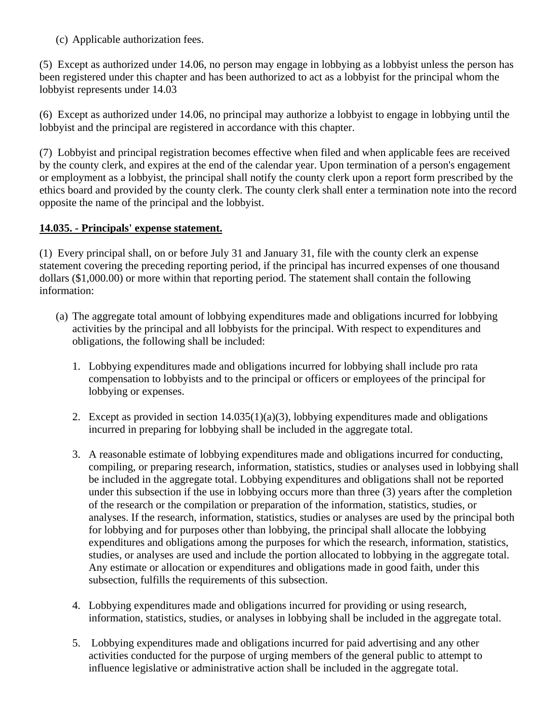(c) Applicable authorization fees.

(5) Except as authorized under 14.06, no person may engage in lobbying as a lobbyist unless the person has been registered under this chapter and has been authorized to act as a lobbyist for the principal whom the lobbyist represents under 14.03

(6) Except as authorized under 14.06, no principal may authorize a lobbyist to engage in lobbying until the lobbyist and the principal are registered in accordance with this chapter.

(7) Lobbyist and principal registration becomes effective when filed and when applicable fees are received by the county clerk, and expires at the end of the calendar year. Upon termination of a person's engagement or employment as a lobbyist, the principal shall notify the county clerk upon a report form prescribed by the ethics board and provided by the county clerk. The county clerk shall enter a termination note into the record opposite the name of the principal and the lobbyist.

### **14.035. - Principals' expense statement.**

(1) Every principal shall, on or before July 31 and January 31, file with the county clerk an expense statement covering the preceding reporting period, if the principal has incurred expenses of one thousand dollars (\$1,000.00) or more within that reporting period. The statement shall contain the following information:

- (a) The aggregate total amount of lobbying expenditures made and obligations incurred for lobbying activities by the principal and all lobbyists for the principal. With respect to expenditures and obligations, the following shall be included:
	- 1. Lobbying expenditures made and obligations incurred for lobbying shall include pro rata compensation to lobbyists and to the principal or officers or employees of the principal for lobbying or expenses.
	- 2. Except as provided in section 14.035(1)(a)(3), lobbying expenditures made and obligations incurred in preparing for lobbying shall be included in the aggregate total.
	- 3. A reasonable estimate of lobbying expenditures made and obligations incurred for conducting, compiling, or preparing research, information, statistics, studies or analyses used in lobbying shall be included in the aggregate total. Lobbying expenditures and obligations shall not be reported under this subsection if the use in lobbying occurs more than three (3) years after the completion of the research or the compilation or preparation of the information, statistics, studies, or analyses. If the research, information, statistics, studies or analyses are used by the principal both for lobbying and for purposes other than lobbying, the principal shall allocate the lobbying expenditures and obligations among the purposes for which the research, information, statistics, studies, or analyses are used and include the portion allocated to lobbying in the aggregate total. Any estimate or allocation or expenditures and obligations made in good faith, under this subsection, fulfills the requirements of this subsection.
	- 4. Lobbying expenditures made and obligations incurred for providing or using research, information, statistics, studies, or analyses in lobbying shall be included in the aggregate total.
	- 5. Lobbying expenditures made and obligations incurred for paid advertising and any other activities conducted for the purpose of urging members of the general public to attempt to influence legislative or administrative action shall be included in the aggregate total.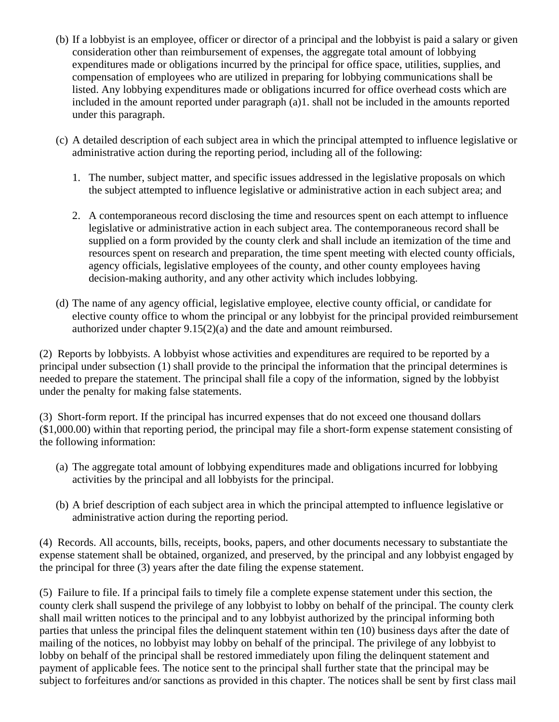- (b) If a lobbyist is an employee, officer or director of a principal and the lobbyist is paid a salary or given consideration other than reimbursement of expenses, the aggregate total amount of lobbying expenditures made or obligations incurred by the principal for office space, utilities, supplies, and compensation of employees who are utilized in preparing for lobbying communications shall be listed. Any lobbying expenditures made or obligations incurred for office overhead costs which are included in the amount reported under paragraph (a)1. shall not be included in the amounts reported under this paragraph.
- (c) A detailed description of each subject area in which the principal attempted to influence legislative or administrative action during the reporting period, including all of the following:
	- 1. The number, subject matter, and specific issues addressed in the legislative proposals on which the subject attempted to influence legislative or administrative action in each subject area; and
	- 2. A contemporaneous record disclosing the time and resources spent on each attempt to influence legislative or administrative action in each subject area. The contemporaneous record shall be supplied on a form provided by the county clerk and shall include an itemization of the time and resources spent on research and preparation, the time spent meeting with elected county officials, agency officials, legislative employees of the county, and other county employees having decision-making authority, and any other activity which includes lobbying.
- (d) The name of any agency official, legislative employee, elective county official, or candidate for elective county office to whom the principal or any lobbyist for the principal provided reimbursement authorized under chapter 9.15(2)(a) and the date and amount reimbursed.

(2) Reports by lobbyists. A lobbyist whose activities and expenditures are required to be reported by a principal under subsection (1) shall provide to the principal the information that the principal determines is needed to prepare the statement. The principal shall file a copy of the information, signed by the lobbyist under the penalty for making false statements.

(3) Short-form report. If the principal has incurred expenses that do not exceed one thousand dollars (\$1,000.00) within that reporting period, the principal may file a short-form expense statement consisting of the following information:

- (a) The aggregate total amount of lobbying expenditures made and obligations incurred for lobbying activities by the principal and all lobbyists for the principal.
- (b) A brief description of each subject area in which the principal attempted to influence legislative or administrative action during the reporting period.

(4) Records. All accounts, bills, receipts, books, papers, and other documents necessary to substantiate the expense statement shall be obtained, organized, and preserved, by the principal and any lobbyist engaged by the principal for three (3) years after the date filing the expense statement.

(5) Failure to file. If a principal fails to timely file a complete expense statement under this section, the county clerk shall suspend the privilege of any lobbyist to lobby on behalf of the principal. The county clerk shall mail written notices to the principal and to any lobbyist authorized by the principal informing both parties that unless the principal files the delinquent statement within ten (10) business days after the date of mailing of the notices, no lobbyist may lobby on behalf of the principal. The privilege of any lobbyist to lobby on behalf of the principal shall be restored immediately upon filing the delinquent statement and payment of applicable fees. The notice sent to the principal shall further state that the principal may be subject to forfeitures and/or sanctions as provided in this chapter. The notices shall be sent by first class mail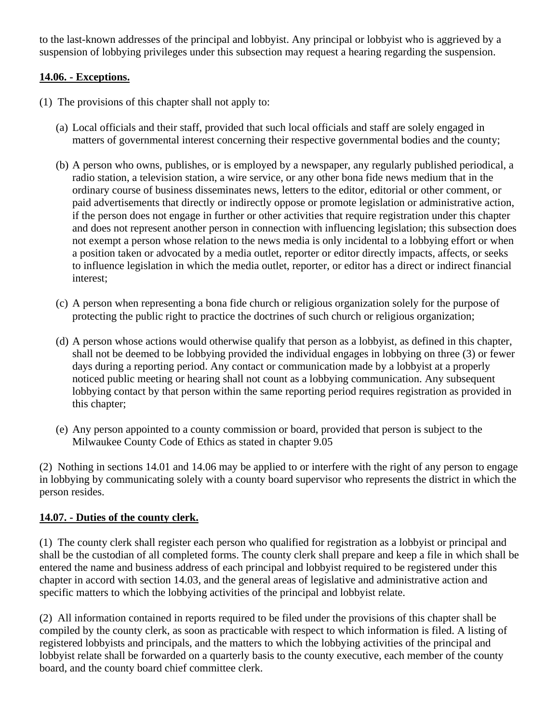to the last-known addresses of the principal and lobbyist. Any principal or lobbyist who is aggrieved by a suspension of lobbying privileges under this subsection may request a hearing regarding the suspension.

### **14.06. - Exceptions.**

- (1) The provisions of this chapter shall not apply to:
	- (a) Local officials and their staff, provided that such local officials and staff are solely engaged in matters of governmental interest concerning their respective governmental bodies and the county;
	- (b) A person who owns, publishes, or is employed by a newspaper, any regularly published periodical, a radio station, a television station, a wire service, or any other bona fide news medium that in the ordinary course of business disseminates news, letters to the editor, editorial or other comment, or paid advertisements that directly or indirectly oppose or promote legislation or administrative action, if the person does not engage in further or other activities that require registration under this chapter and does not represent another person in connection with influencing legislation; this subsection does not exempt a person whose relation to the news media is only incidental to a lobbying effort or when a position taken or advocated by a media outlet, reporter or editor directly impacts, affects, or seeks to influence legislation in which the media outlet, reporter, or editor has a direct or indirect financial interest;
	- (c) A person when representing a bona fide church or religious organization solely for the purpose of protecting the public right to practice the doctrines of such church or religious organization;
	- (d) A person whose actions would otherwise qualify that person as a lobbyist, as defined in this chapter, shall not be deemed to be lobbying provided the individual engages in lobbying on three (3) or fewer days during a reporting period. Any contact or communication made by a lobbyist at a properly noticed public meeting or hearing shall not count as a lobbying communication. Any subsequent lobbying contact by that person within the same reporting period requires registration as provided in this chapter;
	- (e) Any person appointed to a county commission or board, provided that person is subject to the Milwaukee County Code of Ethics as stated in chapter 9.05

(2) Nothing in sections 14.01 and 14.06 may be applied to or interfere with the right of any person to engage in lobbying by communicating solely with a county board supervisor who represents the district in which the person resides.

### **14.07. - Duties of the county clerk.**

(1) The county clerk shall register each person who qualified for registration as a lobbyist or principal and shall be the custodian of all completed forms. The county clerk shall prepare and keep a file in which shall be entered the name and business address of each principal and lobbyist required to be registered under this chapter in accord with section 14.03, and the general areas of legislative and administrative action and specific matters to which the lobbying activities of the principal and lobbyist relate.

(2) All information contained in reports required to be filed under the provisions of this chapter shall be compiled by the county clerk, as soon as practicable with respect to which information is filed. A listing of registered lobbyists and principals, and the matters to which the lobbying activities of the principal and lobbyist relate shall be forwarded on a quarterly basis to the county executive, each member of the county board, and the county board chief committee clerk.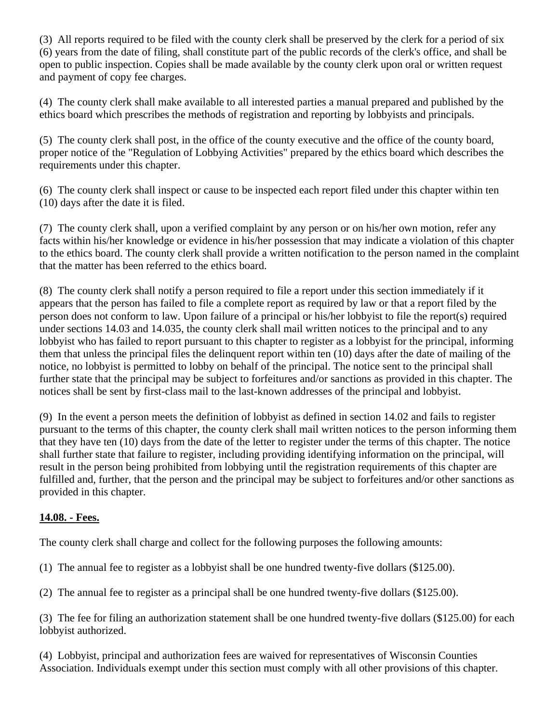(3) All reports required to be filed with the county clerk shall be preserved by the clerk for a period of six (6) years from the date of filing, shall constitute part of the public records of the clerk's office, and shall be open to public inspection. Copies shall be made available by the county clerk upon oral or written request and payment of copy fee charges.

(4) The county clerk shall make available to all interested parties a manual prepared and published by the ethics board which prescribes the methods of registration and reporting by lobbyists and principals.

(5) The county clerk shall post, in the office of the county executive and the office of the county board, proper notice of the "Regulation of Lobbying Activities" prepared by the ethics board which describes the requirements under this chapter.

(6) The county clerk shall inspect or cause to be inspected each report filed under this chapter within ten (10) days after the date it is filed.

(7) The county clerk shall, upon a verified complaint by any person or on his/her own motion, refer any facts within his/her knowledge or evidence in his/her possession that may indicate a violation of this chapter to the ethics board. The county clerk shall provide a written notification to the person named in the complaint that the matter has been referred to the ethics board.

(8) The county clerk shall notify a person required to file a report under this section immediately if it appears that the person has failed to file a complete report as required by law or that a report filed by the person does not conform to law. Upon failure of a principal or his/her lobbyist to file the report(s) required under sections 14.03 and 14.035, the county clerk shall mail written notices to the principal and to any lobbyist who has failed to report pursuant to this chapter to register as a lobbyist for the principal, informing them that unless the principal files the delinquent report within ten (10) days after the date of mailing of the notice, no lobbyist is permitted to lobby on behalf of the principal. The notice sent to the principal shall further state that the principal may be subject to forfeitures and/or sanctions as provided in this chapter. The notices shall be sent by first-class mail to the last-known addresses of the principal and lobbyist.

(9) In the event a person meets the definition of lobbyist as defined in section 14.02 and fails to register pursuant to the terms of this chapter, the county clerk shall mail written notices to the person informing them that they have ten (10) days from the date of the letter to register under the terms of this chapter. The notice shall further state that failure to register, including providing identifying information on the principal, will result in the person being prohibited from lobbying until the registration requirements of this chapter are fulfilled and, further, that the person and the principal may be subject to forfeitures and/or other sanctions as provided in this chapter.

### **14.08. - Fees.**

The county clerk shall charge and collect for the following purposes the following amounts:

- (1) The annual fee to register as a lobbyist shall be one hundred twenty-five dollars (\$125.00).
- (2) The annual fee to register as a principal shall be one hundred twenty-five dollars (\$125.00).

(3) The fee for filing an authorization statement shall be one hundred twenty-five dollars (\$125.00) for each lobbyist authorized.

(4) Lobbyist, principal and authorization fees are waived for representatives of Wisconsin Counties Association. Individuals exempt under this section must comply with all other provisions of this chapter.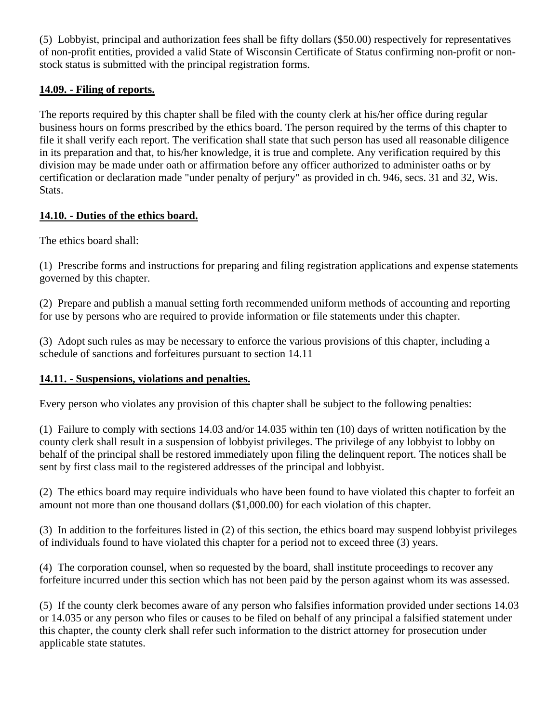(5) Lobbyist, principal and authorization fees shall be fifty dollars (\$50.00) respectively for representatives of non-profit entities, provided a valid State of Wisconsin Certificate of Status confirming non-profit or nonstock status is submitted with the principal registration forms.

### **14.09. - Filing of reports.**

The reports required by this chapter shall be filed with the county clerk at his/her office during regular business hours on forms prescribed by the ethics board. The person required by the terms of this chapter to file it shall verify each report. The verification shall state that such person has used all reasonable diligence in its preparation and that, to his/her knowledge, it is true and complete. Any verification required by this division may be made under oath or affirmation before any officer authorized to administer oaths or by certification or declaration made "under penalty of perjury" as provided in ch. 946, secs. 31 and 32, Wis. Stats.

### **14.10. - Duties of the ethics board.**

The ethics board shall:

(1) Prescribe forms and instructions for preparing and filing registration applications and expense statements governed by this chapter.

(2) Prepare and publish a manual setting forth recommended uniform methods of accounting and reporting for use by persons who are required to provide information or file statements under this chapter.

(3) Adopt such rules as may be necessary to enforce the various provisions of this chapter, including a schedule of sanctions and forfeitures pursuant to section 14.11

## **14.11. - Suspensions, violations and penalties.**

Every person who violates any provision of this chapter shall be subject to the following penalties:

(1) Failure to comply with sections 14.03 and/or 14.035 within ten (10) days of written notification by the county clerk shall result in a suspension of lobbyist privileges. The privilege of any lobbyist to lobby on behalf of the principal shall be restored immediately upon filing the delinquent report. The notices shall be sent by first class mail to the registered addresses of the principal and lobbyist.

(2) The ethics board may require individuals who have been found to have violated this chapter to forfeit an amount not more than one thousand dollars (\$1,000.00) for each violation of this chapter.

(3) In addition to the forfeitures listed in (2) of this section, the ethics board may suspend lobbyist privileges of individuals found to have violated this chapter for a period not to exceed three (3) years.

(4) The corporation counsel, when so requested by the board, shall institute proceedings to recover any forfeiture incurred under this section which has not been paid by the person against whom its was assessed.

(5) If the county clerk becomes aware of any person who falsifies information provided under sections 14.03 or 14.035 or any person who files or causes to be filed on behalf of any principal a falsified statement under this chapter, the county clerk shall refer such information to the district attorney for prosecution under applicable state statutes.